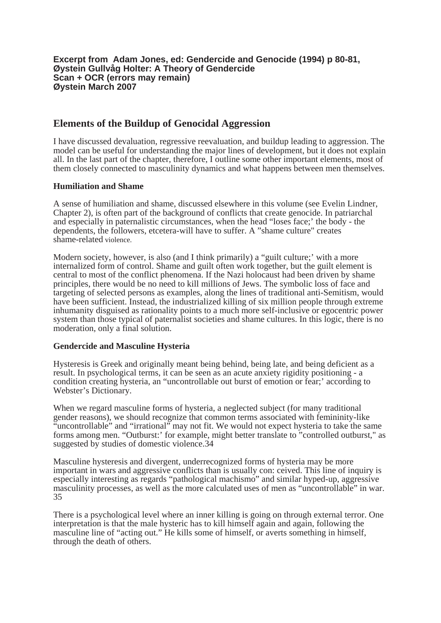# **Elements of the Buildup of Genocidal Aggression**

I have discussed devaluation, regressive reevaluation, and buildup leading to aggression. The model can be useful for understanding the major lines of development, but it does not explain all. In the last part of the chapter, there fore, I outline some other important elements, most of them closely connected to masculinity dynamics and what happens between men themselves.

# **Humiliation and Shame**

A sense of humiliation and shame, discussed elsewhere in this volume (see Evelin Lindner, Chapter 2), is often part of the background of conflicts that create genocide. In patriarchal and especially in paternalistic circum stances, when the head "loses face;' the body - the dependents, the followers, etcetera-will have to suffer. A "shame culture" creates shame-related violence.

Modern society, however, is also (and I think primarily) a "guilt culture;' with a more internalized form of control. Shame and guilt often work together, but the guilt element is central to most of the conflict phenomena. If the Nazi holocaust had been driven by shame principles, there would be no need to kill millions of Jews. The symbolic loss of face and targeting of selected persons as examples, along the lines of traditional anti-Semitism, would have been sufficient. Instead, the industrialized killing of six million people through extreme inhumanity disguised as rationality points to a much more self-inclusive or egocentric power system than those typical of paternalist societies and shame cultures. In this logic, there is no moderation, only a final solution.

### **Gendercide and Masculine Hysteria**

Hysteresis is Greek and originally meant being behind, being late, and being deficient as a result. In psychological terms, it can be seen as an acute anxiety rigidity positioning - a condition creating hysteria, an "uncontrollable out burst of emotion or fear;' according to Webster's Dictionary.

When we regard masculine forms of hysteria, a neglected subject (for many traditional gender reasons), we should recognize that common terms associated with femininity-like "uncontrollable" and "irrational" may not fit. We would not expect hysteria to take the same forms among men. "Outburst:' for example, might better translate to "controlled outburst," as suggested by studies of domestic violence.34

Masculine hysteresis and divergent, underrecognized forms of hysteria may be more important in wars and aggressive conflicts than is usually con: ceived. This line of inquiry is especially interesting as regards "pathological machismo" and similar hyped-up, aggressive masculinity processes, as well as the more calculated uses of men as "uncontrollable" in war. 35

There is a psychological level where an inner killing is going on through external terror. One interpretation is that the male hysteric has to kill himself again and again, following the masculine line of "acting out." He kills some of himself, or averts something in himself, through the death of others.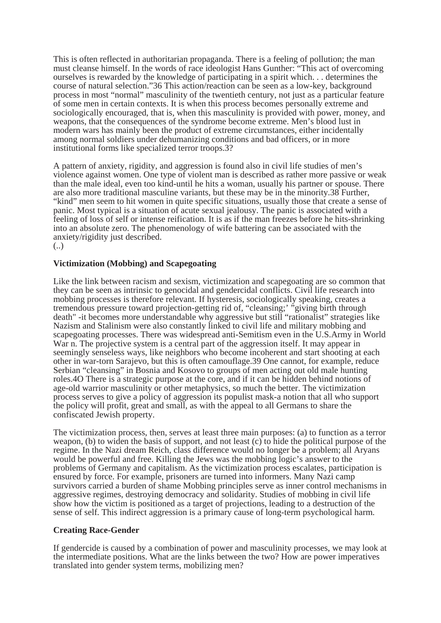This is often reflected in authoritarian propaganda. There is a feeling of pollution; the man must cleanse himself. In the words of race ideologist Hans Gunther: "This act of overcoming ourselves is rewarded by the knowledge of participating in a spirit which... determines the course of natural selection."36 This action/reaction can be seen as a low-key, background process in most "normal" masculinity of the twentieth century, not just as a particular feature of some men in certain contexts. It is when this process becomes personally extreme and sociologically encouraged, that is, when this masculinity is provided with power, money, and weapons, that the consequences of the syndrome become extreme. Men's blood lust in modern wars has mainly been the product of extreme circumstances, either incidentally among normal soldiers under dehumanizing conditions and bad officers, or in more institutional forms like specialized terror troops.3?

A pattern of anxiety, rigidity, and aggression is found also in civil life studies of men's violence against women. One type of violent man is described as rather more passive or weak than the male ideal, even too kind-until he hits a woman, usually his partner or spouse. There are also more traditional masculine variants, but these may be in the minority.38 Further, "kind" men seem to hit women in quite specific situations, usually those that create a sense of panic. Most typical is a situation of acute sexual jealousy. The panic is associated with a feeling of loss of self or intense reification. It is as if the man freezes before he hits-shrinking into an absolute zero. The phenomenology of wife battering can be associated with the anxiety/rigidity just described. (..)

# **Victimization (Mobbing) and Scapegoating**

Like the link between racism and sexism, victimization and scapegoating are so common that they can be seen as intrinsic to genocidal and gendercidal conflicts. Civil life research into mobbing processes is therefore relevant. If hysteresis, sociologically speaking, creates a tremendous pressure toward projection-getting rid of, "cleansing;' "giving birth through death" -it becomes more understandable why aggressive but still "rationalist" strategies like Nazism and Stalinism were also constantly linked to civil life and military mobbing and scapegoating processes. There was widespread anti-Semitism even in the U.S.Army in World War n. The projective system is a central part of the aggression itself. It may appear in seemingly senseless ways, like neighbors who become incoherent and start shooting at each other in war-torn Sarajevo, but this is often camouflage.39 One cannot, for example, reduce Serbian "cleansing" in Bosnia and Kosovo to groups of men acting out old male hunting roles.4O There is a strategic purpose at the core, and if it can be hidden behind notions of age-old warrior masculinity or other metaphysics, so much the better. The victimization process serves to give a policy of aggression its populist mask-a notion that all who support the policy will profit, great and small, as with the appeal to all Germans to share the confiscated Jewish property.

The victimization process, then, serves at least three main purposes: (a) to function as a terror weapon, (b) to widen the basis of support, and not least (c) to hide the political purpose of the regime. In the Nazi dream Reich, class difference would no longer be a problem; all Aryans would be powerful and free. Killing the Jews was the mobbing logic's answer to the problems of Germany and capitalism. As the victimization process escalates, participation is ensured by force. For example, prisoners are turned into informers. Many Nazi camp survivors carried a burden of shame Mobbing principles serve as inner control mechanisms in aggressive regimes, destroying democracy and solidarity. Studies of mobbing in civil life show how the victim is positioned as a target of projections, leading to a destruction of the sense of self. This indirect aggression is a primary cause of long-term psychological harm.

### **Creating Race-Gender**

If gendercide is caused by a combination of power and masculinity processes, we may look at the intermediate positions. What are the links between the two? How are power imperatives translated into gender system terms, mobilizing men?